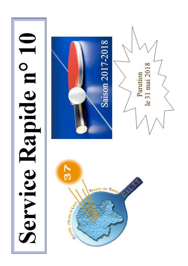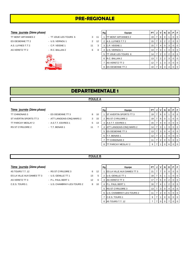## **PRE-REGIONALE**

#### **7ème** journée (2ème phase)

- TT MONT ARTANNES 2 TT JOUE LES TOURS 6 3 1 ES OESIENNE TT 2  $-$  U.S. VERNOU 1 2 1. A.S. LUYNES T.T 2 **- C.P. VEIGNE 1** 3 3 4 11 AS VERETZ TT 2 **AS VERETZ TT 2** 4 R.C. BALLAN 2 4 6
	- -
		-



|   | Rg | Equipe              | PТ |   | ٧              | N              | D              | Р        | F        |
|---|----|---------------------|----|---|----------------|----------------|----------------|----------|----------|
| 1 | 1  | TT MONT ARTANNES 2  | 19 | 7 | 6              | 0              | 1              | 0        | 0        |
| 2 | 2  | A.S. LUYNES T.T 2   | 15 | 7 | 3              | $\overline{2}$ | $\overline{2}$ | $\Omega$ | $\Omega$ |
| 3 | 3  | C.P. VEIGNE 1       | 15 | 7 | 4              | $\Omega$       | 3              | 0        | 0        |
| 8 | 4  | U.S. VERNOU 1       | 14 | 7 | 3              | 1              | 3              | 0        | 0        |
|   | 5  | TT JOUE LES TOURS 6 | 14 | 7 | $\overline{2}$ | 3              | $\overline{2}$ | 0        | $\Omega$ |
|   | 6  | R.C. BALLAN 2       | 13 | 7 | $\overline{2}$ | $\overline{2}$ | 3              | 0        | 0        |
|   | 7  | AS VERETZ TT 2      | 12 | 7 | 1              | 3              | 3              | 0        | $\Omega$ |
|   | 8  | ES OESIENNE TT 2    | 10 |   | 0              | 3              | 4              | 0        | $\Omega$ |

## **DEPARTEMENTALE 1**

#### **POULE A**

### $7$ ème journée (2ème phase)

- TT PARCAY MESLAY 2 A.S.T.T. ESVRES 1 3 RS ST CYR/LOIRE 2 <sup>-</sup> T.T. BENAIS 1 11 7
- TT CHINONAIS 3 ES OESIENNE TT 3 8 10 ST AVERTIN SPORTS TT 3 - ATT LANGEAIS-CINQ MARS 2 3 15
	-
- 

| Rg | Equipe                   | PT | J | v              | N        | D | P | F        |
|----|--------------------------|----|---|----------------|----------|---|---|----------|
|    | ST AVERTIN SPORTS TT 3   | 19 | 7 | 6              | 0        | 1 | O | 0        |
| 2  | <b>RS ST CYR/LOIRE 2</b> | 19 | 7 | 6              | $\Omega$ | 1 | ი | $\Omega$ |
| 3  | A.S.T.T. ESVRES 1        | 15 | 7 | 4              | 0        | 3 | O | $\Omega$ |
| 4  | ATT LANGEAIS-CINQ MARS 2 | 14 | 7 | 3              |          | 3 | O | $\Omega$ |
| 5  | <b>ES OESIENNE TT 3</b>  | 13 | 7 | 3              | 0        | 4 | Ω | 0        |
| 6  | T.T. BENAIS 1            | 12 | 7 | 2              |          | 4 | O | 0        |
|    | TT CHINONAIS 3           | 11 | 7 | $\overline{2}$ | 0        | 5 | 0 | 0        |
| 8  | TT PARCAY MESLAY 2       | 9  | 7 |                | ი        | 6 |   | U        |

#### **POULE B**

- 4S TOURS T.T. 12 RS ST CYR/LOIRE 3 6 12 ES LA VILLE AUX DAMES TT 3 - U.S. GENILLE TT 1 1 13 AS VERETZ TT 3 - P.L. PAUL BERT 1 3 42
- -
	-
- 
- 
- C.E.S. TOURS 1 U.S. CHAMBRAY-LES-TOURS 2 8 1

|   | Rg | Equipe                     | PT | J | ν              | N        | D | Р | F        |
|---|----|----------------------------|----|---|----------------|----------|---|---|----------|
| 2 |    | ES LA VILLE AUX DAMES TT 3 | 21 | 7 |                | 0        | 0 | O | $\Omega$ |
| 5 | 2  | U.S. GENILLE TT 1          | 18 | 7 | 5              |          |   | Ω | $\Omega$ |
| 6 | 3  | AS VERETZ TT 3             | 17 | 7 | 5              | $\Omega$ | 2 | O | $\Omega$ |
| n | 4  | P.L. PAUL BERT 1           | 16 | 7 | 4              |          | 2 | O | $\Omega$ |
|   | 5  | <b>RS ST CYR/LOIRE 3</b>   | 13 | 7 | 3              | $\Omega$ | 4 | O | $\Omega$ |
|   | 6  | U.S. CHAMBRAY-LES-TOURS 2  | 11 | 7 | $\overline{2}$ | $\Omega$ | 5 | O | $\Omega$ |
|   | 7  | C.E.S. TOURS 1             | 9  | 7 |                | O        | 6 | O | $\Omega$ |
|   | 8  | 4S TOURS T.T. 12           | 7  |   |                |          |   |   |          |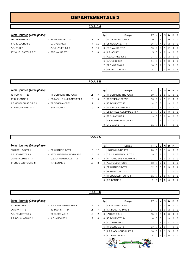#### **POULE A**

#### $7$ ème journée (2ème phase)

- TT JOUE LES TOURS 7 STE MAURE TT 2 40
- PPC MARTINOIS 1 ES OESIENNE TT 4 3 15 15 16 17 17 17 18 17 18 19 19 19 19 19 19 19 10 11 11 12 12 13 10 14 1 TTC du LOCHOIS 2 - C.P. VEIGNE 2 7 1 A.P. ABILLY 1 - A.S. LUYNES T.T 3 4

|                | Equipe<br>Rg |                         | PT | J              | v              | N        | D | Р        | F        |  |
|----------------|--------------|-------------------------|----|----------------|----------------|----------|---|----------|----------|--|
| 5              | 1            | TT JOUE LES TOURS 7     | 20 | 7              | 6              | 1        | 0 | $\Omega$ | O        |  |
| $\overline{1}$ | 2            | <b>ES OESIENNE TT 4</b> | 16 | 7              | 4              | 1        | 2 | 0        | 0        |  |
| 4              | 3            | STE MAURE TT 2          | 16 | $\overline{7}$ | $\overline{4}$ | 1        | 2 | $\Omega$ | $\Omega$ |  |
| 8              | 4            | A.P. ABILLY 1           | 15 | 7              | $\overline{4}$ | $\Omega$ | 3 | 0        | $\Omega$ |  |
|                | 5            | A.S. LUYNES T.T 3       | 14 | 7              | 2              | 3        | 2 | 0        | $\Omega$ |  |
|                | 6            | C.P. VEIGNE 2           | 14 | 7              | 3              | 1        | 3 | $\Omega$ | $\Omega$ |  |
|                | 7            | <b>PPC MARTINOIS 1</b>  | 10 | 7              | 1              | 1        | 5 | $\Omega$ | 0        |  |
|                | 8            | TTC du LOCHOIS 2        | 6  | 7              | $\Omega$       | 0        | 6 | $\Omega$ |          |  |

#### **POULE B**

#### $7$ ème journée (2ème phase)

TT PARCAY MESLAY 3 - STE MAURE TT 1 9

4S TOURS T.T. 13 - TT CORMERY-TRUYES 2 11 TT CHINONAIS 4 - ES LA VILLE AUX DAMES TT 4 13 A.S MONTLOUIS/LOIRE 1 - TT SEMBLANCEEN 1 7 1

|   | Rg | Equipe                     |    | J | v | N | D | Р |   |
|---|----|----------------------------|----|---|---|---|---|---|---|
| 7 | 1  | TT CORMERY-TRUYES 2        | 19 | 7 | 6 | 0 |   | O | ი |
| 5 | 2  | TT SEMBLANCEEN 1           | 16 | 7 | 4 | 1 | 2 | O |   |
| 1 | 3  | 4S TOURS T.T. 13           | 14 | 7 | 3 |   | 3 | O |   |
| 9 | 4  | TT PARCAY MESLAY 3         | 14 | 7 | 3 |   | 3 | O | O |
|   | 5  | ES LA VILLE AUX DAMES TT 4 | 14 | 7 | 3 |   | 3 | 0 |   |
|   | 6  | TT CHINONAIS 4             | 13 | 7 | 3 | 0 | 4 | O |   |
|   | 7  | A.S MONTLOUIS/LOIRE 1      | 11 | 7 | 1 | 2 | 4 | O | ი |
|   | 8  | <b>STE MAURE TT 1</b>      | 11 | 7 |   | 2 | 4 |   |   |

#### **POULE C**

#### $7$ ème journée (2ème phase)

- A.S. FONDETTES 6 ATT LANGEAIS-CINQ MARS 3 4 US RENAUDINE TT 3 - C.S. LA MEMBROLLE TT 2 11 TT JOUE LES TOURS 8 - T.T. BENAIS 2 40
- ES RIDELLOIS TT 1 BEAUJARDIN BCT 2 6
	-
	-
	-

|    | Rg | Equipe                   | PT | J | v              | N        | D | P | F        |
|----|----|--------------------------|----|---|----------------|----------|---|---|----------|
| 12 |    | US RENAUDINE TT 3        | 20 | 7 | 6              |          | 0 | 0 | $\Omega$ |
| 14 | 2  | C.S. LA MEMBROLLE TT 2   | 19 | 7 | 6              | $\Omega$ |   | 0 | $\Omega$ |
|    | 3  | ATT LANGEAIS-CINQ MARS 3 | 17 | 7 | 5              | $\Omega$ | 2 | 0 | $\Omega$ |
| 8  |    | A.S. FONDETTES 6         | 13 | 7 | 3              | $\Omega$ | 4 | 0 | $\Omega$ |
|    | 5  | <b>BEAUJARDIN BCT 2</b>  | 12 | 7 | 3              | $\Omega$ | 3 | 0 |          |
|    | 6  | ES RIDELLOIS TT 1        | 12 | 7 | $\overline{2}$ |          | 4 | 0 | $\Omega$ |
|    | 7  | TT JOUE LES TOURS 8      | 11 | 7 | $\overline{2}$ | $\Omega$ | 5 | 0 | $\Omega$ |
|    | 8  | T.T. BENAIS 2            | 6  |   | 0              | Ω        | 6 |   |          |

#### **POULE D**

| 7ème journée (2ème phase) |                          |    |
|---------------------------|--------------------------|----|
| P.L. PAUL BERT 2          | - A.T.T. AZAY-SUR-CHER 1 | 15 |
| I ADCAVTT 1               | $1.18$ TOHRET T 11       |    |

- 
- LARCAY T.T. 1 4S TOURS T.T. 14 2 11 A.S. FONDETTES 5 TT BLERE V.C. 2 16 T.T. BOUCHARDAIS 1 - A.C. AMBOISE 1 12

|                | Rg | Equipe                 | <b>PT</b> | J | v | N        | D | P | F        |  |
|----------------|----|------------------------|-----------|---|---|----------|---|---|----------|--|
| 3              | 1  | A.S. FONDETTES 5       | 21        | 7 | 7 | 0        | 0 | O | 0        |  |
| 7              | 2  | T.T. BOUCHARDAIS 1     | 17        | 7 | 5 | $\Omega$ | 2 | 0 | 0        |  |
| $\overline{2}$ | 3  | LARCAY T.T. 1          | 15        | 7 | 4 | 0        | 3 | O | 0        |  |
| 6              | 4  | 4S TOURS T.T. 14       | 14        | 7 | 3 | 1        | 3 | 0 | 0        |  |
|                | 5  | A.C. AMBOISE 1         | 13        | 7 | 3 | $\Omega$ | 4 | O | 0        |  |
|                | 6  | TT BLERE V.C. 2        | 13        | 7 | 3 | $\Omega$ | 4 | 0 | 0        |  |
|                | 7  | A.T.T. AZAY-SUR-CHER 1 | 10        | 7 | 1 |          | 5 | O | 0        |  |
|                | 8  | P.L. PAUL BERT 2       | 9         | 7 | 1 | O        | 6 | O | $\Omega$ |  |
|                |    |                        |           |   |   |          |   |   |          |  |

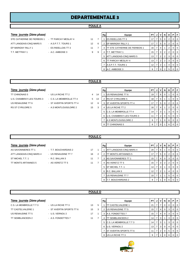#### **POULE A**

- 
- -
- -
- **7ème journée** *(2ème phase)* **Rg Equipe PT J V N D P F** STE CATHERINE DE FIERBOIS 1 - TT PARCAY MESLAY 4 11 7 | 1 | ES RIDELLOIS TT 3 | 17 | 7 | 5 | 0 | 2 | 0 | 0 ATT LANGEAIS-CINQ MARS 5 - A.S.P.T.T. TOURS 1 12 6 2 EP MARIGNY RILLY 1 17 7 5 0 2 0 0 0 EP MARIGNY RILLY 1 - ES RIDELLOIS TT 3 11 7 3 TT STE CATHERINE DE FIERBOIS 1  $\left| 16 \right| 7 \right| 4 \left| 1 \right| 2 \left| 0 \right| 0$ T.T. METTRAY 1 - A.C. AMBOISE 3 9 9 4 T.T. METTRAY 1 15 7 3 2 2 0 0 5 ATT LANGEAIS-CINQ MARS 5 13 7 2 3 0 0 6 TT PARCAY MESLAY 4 13 7 2 2 3 0 0 7 A.S.P.T.T. TOURS 1 12 7 2 1 4 0 0 8 A.C. AMBOISE 3 9 7 0

#### **POULE B**

#### $7$ ème journée (2ème phase)

TT CHINONAIS 5 - US LA RICHE TT 2 4 1 U.S. CHAMBRAY-LES-TOURS 3 - C.S. LA MEMBROLLE TT 4 5 1 US RENAUDINE TT 6  $\overline{S}$  ST AVERTIN SPORTS TT 4 3 42 RS ST CYR/LOIRE 5 - A.S MONTLOUIS/LOIRE 2 15

|   | Rg | Equipe                        | PT | J | ν              | N        | D | Р | F |
|---|----|-------------------------------|----|---|----------------|----------|---|---|---|
| 4 |    | US RENAUDINE TT 6             | 19 | 7 | 6              | $\Omega$ |   | O |   |
| 3 | 2  | <b>RS ST CYR/LOIRE 5</b>      | 18 | 7 | 5              |          |   | Ω | 0 |
| 6 | 3  | <b>ST AVERTIN SPORTS TT 4</b> | 17 | 7 | 5              | $\Omega$ | 2 | O | 0 |
| 3 | 4  | US LA RICHE TT 2              | 16 | 7 | 4              |          | 2 | O | 0 |
|   | 5  | C.S. LA MEMBROLLE TT 4        | 14 | 7 | 3              |          | 3 | O | 0 |
|   | 6  | U.S. CHAMBRAY-LES-TOURS 3     | 11 | 7 | $\overline{2}$ | $\Omega$ | 5 | O | 0 |
|   | 7  | A.S MONTLOUIS/LOIRE 2         | 9  | 7 | 1              | $\Omega$ | 6 | O | 0 |
|   | 8  | TT CHINONAIS 5                | 8  | 7 | 0              |          | 6 | O |   |

#### **POULE C**

#### **7ème** journée (2ème phase)

- AS SAVONNIERES TT 1 T.T. BOUCHARDAIS 2 17 ATT LANGEAIS-CINQ MARS 4 - US RENAUDINE TT 7 16 2 16 TT MONTS ARTANNES 5 - AS VERETZ TT 5 11
- 

| 7ème journée (2ème phase) |                      |    |   | Rg | Equipe                   | <b>PT</b>       |    | JIVINI       | D.           | PF             |  |
|---------------------------|----------------------|----|---|----|--------------------------|-----------------|----|--------------|--------------|----------------|--|
| AS SAVONNIERES TT 1       | - T.T. BOUCHARDAIS 2 | 17 |   |    | ATT LANGEAIS-CINQ MARS 4 | 20              | -6 |              | 0            | $0$   $0$      |  |
| ATT LANGEAIS-CINQ MARS 4  | - US RENAUDINE TT 7  | 16 | 2 |    | 2 TT MONTS ARTANNES 5    | 17 I            | -5 | 0            | $\mathbf{2}$ | $0$   $0$      |  |
| ST MICHEL T.T. 1          | - R.C. BALLAN 3      | 11 |   |    | 3 AS SAVONNIERES TT 1    | 15 <sup>1</sup> | 4  | $\mathbf{0}$ | 3            | $01$ 0         |  |
| TT MONTS ARTANNES 5       | - AS VERETZ TT 5     | 11 |   |    | 4 AS VERETZ TT 5         | 15 I            | -3 |              |              | $01$ 0         |  |
|                           |                      |    |   |    | 5 ST MICHEL T.T. 1       | 14 I            | -3 |              | 3            | $0$   $0$      |  |
|                           |                      |    |   |    | 6 R.C. BALLAN 3          | 12 <sub>1</sub> |    |              |              | $0$   $0$      |  |
|                           |                      |    |   |    | US RENAUDINE TT 7        | 10 <sup>1</sup> |    |              | 5            | $01$ 0         |  |
|                           |                      |    |   |    | 8 T.T. BOUCHARDAIS 2     | 9               |    | $\mathbf{0}$ | 6            | 0 <sub>0</sub> |  |

#### **POULE D**

|  |  | 7ème journée (2ème phase) |  |  |
|--|--|---------------------------|--|--|
|--|--|---------------------------|--|--|

- TT SEMBLANCEEN 2 A.S. FONDETTES 7 11
- C.S. LA MEMBROLLE T.T 3 US LA RICHE TT 3 13 TT CASTELVALERIE 1 - ST AVERTIN SPORTS TT 6 3 2 15 US RENAUDINE TT 5 - U.S. VERNOU 2 17
	-

| 7ème j <u>ournée</u> (2è <i>me phase)</i> |                          |    |   | Rg | Equipe                         | PT I            |                | JIV   | <b>N</b> | D              | <b>P</b> F     |                |
|-------------------------------------------|--------------------------|----|---|----|--------------------------------|-----------------|----------------|-------|----------|----------------|----------------|----------------|
| C.S. LA MEMBROLLE T.T 3                   | - US LA RICHE TT 3       | 13 | 5 |    | <b>TT CASTELVALERIE 1</b>      | 21              |                |       |          |                |                | $01$ 0         |
| TT CASTELVALERIE 1                        | - ST AVERTIN SPORTS TT 6 | 15 | 3 |    | US RENAUDINE TT 5              | 15 <sub>1</sub> |                | 4     | 0        | 3              | $\overline{0}$ | $\overline{0}$ |
| US RENAUDINE TT 5                         | - U.S. VERNOU 2          | 17 |   |    | A.S. FONDETTES 7               | 15 I            | 7.             | 4     | $\Omega$ | 3              |                | $01$ 0         |
| TT SEMBLANCEEN 2                          | - A.S. FONDETTES 7       | 11 |   | 4  | TT SEMBLANCEEN 2               | 14              | $\overline{7}$ | 3     |          | 3              |                | $01$ 0         |
|                                           |                          |    |   | 5  | <b>C.S. LA MEMBROLLE T.T 3</b> | 14              | $\overline{7}$ | -3    |          | 3              |                | $01$ 0         |
|                                           |                          |    |   |    | 6 U.S. VERNOU 2                | 13 <sup>1</sup> | 7 <sup>1</sup> | l 3 l |          | $\overline{4}$ |                | $01$ 0         |
|                                           |                          |    |   |    | <b>IST AVERTIN SPORTS TT 6</b> | 11              | <b>7</b>       | l 2 l | $\Omega$ | 5              |                | 0 <sub>0</sub> |
|                                           |                          |    |   | 8  | US LA RICHE TT 3               | 9               |                |       |          | 6              |                | $01$ 0         |

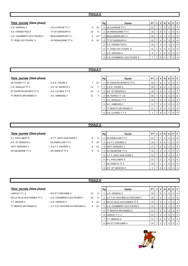### $7$ ème journée (2ème phase)

- U.S. VERNOU 4 **DEALLY ASSESSED AS A US LA RICHE TT 1** 8 A.S. FONDETTES 8 - TT ST GENOUPH 4 13 U.S. CHAMBRAY-LES-TOURS 5 - BEAUJARDIN BCT 3 4 TT JOUE LES TOURS 9 - US RENAUDINE TT 4 3
- 

|    | Rg | Equipe                    | PT | J | ٧              | N        | D        | Р        | F        |
|----|----|---------------------------|----|---|----------------|----------|----------|----------|----------|
| 10 |    | US LA RICHE TT 1          | 21 | 7 | 7              | $\Omega$ | $\Omega$ | $\Omega$ | $\Omega$ |
| -5 | 2  | US RENAUDINE TT 4         | 19 | 7 | 6              | $\Omega$ | 1        | $\Omega$ | $\Omega$ |
| 14 | 3  | <b>BEAUJARDIN BCT 3</b>   | 15 | 7 | $\overline{4}$ | $\Omega$ | 3        | $\Omega$ | $\Omega$ |
| 10 | 4  | TT ST GENOUPH 4           | 15 | 7 | $\overline{4}$ | $\Omega$ | 3        | 0        | $\Omega$ |
|    | 5  | A.S. FONDETTES 8          | 15 | 7 | $\overline{4}$ | $\Omega$ | 3        | 0        | $\Omega$ |
|    | 6  | TT JOUE LES TOURS 9       | 11 | 7 | $\overline{2}$ | $\Omega$ | 5        | 0        | $\Omega$ |
|    | 7  | U.S. VERNOU 4             | 9  | 7 | 1              | $\Omega$ | 6        | 0        | 0        |
|    | 8  | U.S. CHAMBRAY-LES-TOURS 5 | 7  | 7 | $\Omega$       | $\Omega$ | 7        | 0        | $\Omega$ |
|    |    |                           |    |   |                |          |          |          |          |

#### **POULE F**

#### $7$ ème journée (2ème phase)

- 4S TOURS T.T. 15 C.E.S. TOURS 2 7 1 U.S. GENILLE TT 2 - A.P. ST SENOCH 1 11 ST AVERTIN SPORTS TT 5 - A.S. LUYNES T.T 4 3 4 3 A.P. ST AVERTIN SPORTS TT 5 TT MONTS ARTANNES 4 - A.C. AMBOISE 2 11
	-

| Rg | Equipe                 | PT | J | v | N        | D | Р        | F        |
|----|------------------------|----|---|---|----------|---|----------|----------|
|    | ST AVERTIN SPORTS TT 5 | 20 | 7 | 6 | 1        | O | 0        | 0        |
| 2  | C.E.S. TOURS 2         | 19 | 7 | 6 | $\Omega$ |   | 0        | 0        |
| 3  | A.P. ST SENOCH 1       | 16 | 7 | 4 | 1        | 2 | $\Omega$ | 0        |
| 4  | 4S TOURS T.T. 15       | 15 | 7 | 4 | $\Omega$ | 3 | $\Omega$ | 0        |
| 5  | U.S. GENILLE TT 2      | 13 | 7 | 3 | $\Omega$ | 4 | $\Omega$ | 0        |
| 6  | A.C. AMBOISE 2         | 11 | 7 | 2 | $\Omega$ | 5 | $\Omega$ | 0        |
| 7  | TT MONTS ARTANNES 4    | 11 | 7 | 2 | $\Omega$ | 5 | $\Omega$ | 0        |
| 8  | A.S. LUYNES T.T 4      | 7  | 7 | O | $\Omega$ |   | ∩        | $\Omega$ |

#### **POULE G**

#### $7\text{ème}$  journée (2ème phase)

- 
- P.L. PAUL BERT 3 A.T.T. AZAY-SUR-CHER 2 9 9 A.P. ST SENOCH 2 - ES RIDELLOIS TT 2 F 18
- ASTT SORIGNY 1 A.S.T.T. ESVRES 2 6 12
- ES OESIENNE TT 5 AS VERETZ TT 4 9 9

|                |                |                          | PT |   | v              |          |                |          | F        |
|----------------|----------------|--------------------------|----|---|----------------|----------|----------------|----------|----------|
|                | Rg             | Equipe                   |    |   |                | N        | D              | Р        |          |
| Ę              |                | <b>ES RIDELLOIS TT 2</b> | 21 | 7 | 7              | 0        | O              | $\Omega$ | $\Omega$ |
| 3              | 2              | A.S.T.T. ESVRES 2        | 19 | 7 | 6              | $\Omega$ |                | O        | 0        |
| $\overline{2}$ | 3              | <b>ASTT SORIGNY 1</b>    | 17 | 7 | 5              | $\Omega$ | $\overline{2}$ | $\Omega$ | 0        |
| Ę              | $\overline{4}$ | <b>ES OESIENNE TT 5</b>  | 13 | 7 | $\overline{2}$ | 2        | 3              | $\Omega$ | 0        |
|                | 5              | A.T.T. AZAY-SUR-CHER 2   | 13 | 7 | 2              | 2        | 3              | $\Omega$ | $\Omega$ |
|                | 6              | P.L. PAUL BERT 3         | 12 | 7 | $\overline{2}$ |          | 4              | O        | $\Omega$ |
|                |                | AS VERETZ TT 4           | 10 | 7 |                |          | 5              | O        | 0        |
|                | 8              | A.P. ST SENOCH 2         | 5  |   |                |          | 5              | O        | 2        |

#### **POULE H**

- LARCAY T.T. 2  **RS ST CYR/LOIRE 4** 13 5 ES LA VILLE AUX DAMES TT 5 - U.S. CHAMBRAY-LES-TOURS 4 13 5 T.T. BENAIS 3 - U.S. VERNOU 3 5 13 TT MONTS ARTANNES 3 - A.T.T.ST ANTOINE DU ROCHER 1 6 12
	-
	- -

|                | Rg | Equipe                       | PТ | J | ν              | N        | D | Р        | F        |
|----------------|----|------------------------------|----|---|----------------|----------|---|----------|----------|
| 5              |    | U.S. VERNOU 3                | 19 | 7 | 5              | 2        | 0 | 0        | 0        |
| 5              | 2  | A.T.T.ST ANTOINE DU ROCHER 1 | 16 | 7 | 4              | 1        | 2 | $\Omega$ | $\Omega$ |
| 3              | 3  | ES LA VILLE AUX DAMES TT 5   | 15 | 7 | 4              | 1        |   | 0        |          |
| $\overline{2}$ | 4  | U.S. CHAMBRAY-LES-TOURS 4    | 15 | 7 | 3              | 2        | 2 | 0        | $\Omega$ |
|                | 5  | TT MONTS ARTANNES 3          | 13 | 7 | $\overline{2}$ | 2        | 3 | 0        | $\Omega$ |
|                | 6  | LARCAY T.T. 2                | 11 | 7 | 2              | $\Omega$ | 5 | 0        | $\Omega$ |
|                | 7  | T.T. BENAIS 3                | 11 | 7 | 2              | $\Omega$ | 5 | 0        | $\Omega$ |
|                | 8  | <b>RS ST CYR/LOIRE 4</b>     | 10 |   |                | 2        | 3 |          |          |

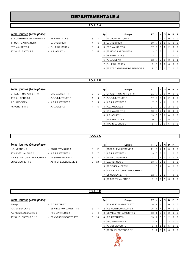#### **POULE A**

- 
- 
- **7ème journée** (2ème phase) **Rg Rg** Equipe PT J V N D STE CATHERINE DE FIERBOIS 2 - AS VERETZ TT 6 3 7 1 TT JOUE LES TOURS 11 21 7 7 0 0 0 0 TT MONTS ARTANNES 6 - C.P. VEIGNE 3 4 6 2 C.P. VEIGNE 3 19 7 6 0 1 0 0 0 STE MAURE TT 3  $\begin{array}{ccc} \text{S} \text{I} \text{S} & \text{S} \text{I} \text{S} & \text{S} \text{I} \text{S} & \text{S} \text{I} \text{S} & \text{S} \text{I} \text{S} & \text{S} \text{I} \text{S} & \text{S} \text{I} \text{S} & \text{S} \text{I} \text{S} & \text{S} \text{I} \text{S} & \text{S} \text{I} \text{S} & \text{S} \text{I} \text{S} & \text{S} \text{I} \text{S} & \text{S} \$ TT JOUE LES TOURS 11 - A.P. ABILLY 3 10 F 4 TT MONTS ARTANNES 6 13 7 3 1 2 0 5 AS VERETZ TT 6 12 7 2 1 4 0 0 6 A.P. ABILLY 3 12 7 3 0 3 0 1 7 P.L. PAUL BERT 4 9 7 1 0 6 0 0 8 TT STE CATHERINE DE FIERBOIS 2  $777000770$

#### **POULE B**

- **7ème** journée (2ème phase)
- ST AVERTIN SPORTS TT 8 STE MAURE TT 4 9 TTC du LOCHOIS 3 - A.S.P.T.T. TOURS 2 4 A.C. AMBOISE 6 **A.S.T.T. ESVRES 3**
- 

| 7ème journée (2ème phase) |                      |   |   | Rg | Equipe                        | <b>PT</b>       | J | V            | N.           | D. | PF             |
|---------------------------|----------------------|---|---|----|-------------------------------|-----------------|---|--------------|--------------|----|----------------|
| ST AVERTIN SPORTS TT 8    | - STE MAURE TT 4     | 9 |   |    | <b>ST AVERTIN SPORTS TT 8</b> | -21             |   |              | 0            | 0  | 0 <sub>0</sub> |
| TTC du LOCHOIS 3          | - A.S.P.T.T. TOURS 2 | 4 | 6 |    | A.S.P.T.T. TOURS 2            |                 |   | 5            | 0            |    | 0 <sub>0</sub> |
| A.C. AMBOISE 6            | - A.S.T.T. ESVRES 3  | 5 | 5 | 3  | A.S.T.T. ESVRES 3             |                 |   | 4            | 2            |    | $0$   $0$      |
| AS VERETZ TT 7            | $-$ A.P. ABILLY 2    | 4 | 6 |    | 4 A.C. AMBOISE 6              | 14 I            |   | $^{\circ}$ 2 | 3            |    | 0 <sub>0</sub> |
|                           |                      |   |   |    | 5 STE MAURE TT 4              | 13 <sup>1</sup> |   | 2            | 2            | 3  | $01$ 0         |
|                           |                      |   |   |    | 6 A.P. ABILLY 2               | 13 I            |   | 3            | $\mathbf{0}$ | 4  | $01$ 0         |
|                           |                      |   |   |    | 7 AS VERETZ TT 7              | 10 <sup>1</sup> |   |              |              | 5  | 0 <sub>0</sub> |
|                           |                      |   |   |    | 8 TTC du LOCHOIS 3            | 5 <sup>1</sup>  |   |              |              | 5  | $0$   2        |
|                           |                      |   |   |    |                               |                 |   |              |              |    |                |

#### **POULE C**

#### **7ème** journée (2ème phase)

- U.S. VERNOU 5 RS ST CYR/LOIRE 6 10 F TT CASTELVALERIE 2 - A.S.T.T. ESVRES 4 3 7 A.T.T.ST ANTOINE DU ROCHER 3 - TT SEMBLANCEEN 3 3 7 ES OESIENNE TT 6 - ASTT CHEMILLE/DEME 1 0 10
- 

|    | Rg | Equipe                       | PТ |   | ν              | N | D | Р            | F        |
|----|----|------------------------------|----|---|----------------|---|---|--------------|----------|
| ÷. |    | <b>ASTT CHEMILLE/DEME 1</b>  | 21 | 7 | 7              | 0 | O | $\Omega$     | $\Omega$ |
|    | 2  | A.S.T.T. ESVRES 4            | 19 | 7 | 6              | 0 |   | 0            | $\Omega$ |
|    | 3  | <b>RS ST CYR/LOIRE 6</b>     | 14 | 7 | 4              | 0 | 2 | $\Omega$     |          |
|    | 4  | U.S. VERNOU 5                | 13 | 7 | 3              | 0 | 4 | $\Omega$     | $\Omega$ |
|    | 5  | TT SEMBLANCEEN 3             | 12 | 7 | 2              | 1 | 4 | 0            | $\Omega$ |
|    | 6  | A.T.T.ST ANTOINE DU ROCHER 3 | 12 | 7 | $\overline{2}$ | 1 | 4 | 0            | 0        |
|    | 7  | <b>ES OESIENNE TT 6</b>      | 12 | 7 | 2              | 1 | 4 | 0            | 0        |
|    | 8  | TT CASTELVALERIE 2           | 8  |   | O              |   | 6 | $\mathbf{I}$ | 0        |

#### **POULE D**

|  |  | 7ème journée (2ème phase |  |  |
|--|--|--------------------------|--|--|
|--|--|--------------------------|--|--|

- Exempt T.T. METTRAY 3 A.P. ST SENOCH 3 - ES VILLE AUX DAMES TT 6 3 7 A.S MONTLOUIS/LOIRE 3 - PPC MARTINOIS 2 6 4 TT JOUE LES TOURS 12 - ST AVERTIN SPORTS TT 7 0 10
- -
	- -

| <u>7ème journée</u> (2ème phase) |                           |   | Rg | Equipe | PTIJI                             |                 | VIN   |                 | D | PF |        |                |
|----------------------------------|---------------------------|---|----|--------|-----------------------------------|-----------------|-------|-----------------|---|----|--------|----------------|
| Exempt                           | - T.T. METTRAY 3          |   |    |        | <b>ST AVERTIN SPORTS TT 7</b>     | 16 <sub>1</sub> | - 6 I | 4               | 2 | 0  |        | 00             |
| A.P. ST SENOCH 3                 | - ES VILLE AUX DAMES TT 6 | 3 |    |        | A.S MONTLOUIS/LOIRE 3             | $16$ 6          |       | 4               | 2 | 0  |        | $01$ 0         |
| A.S MONTLOUIS/LOIRE 3            | - PPC MARTINOIS 2         | 6 | 4  |        | 3 <b>IES VILLE AUX DAMES TT 6</b> | $13$ 6 $3$      |       |                 |   | 2  |        | $01$ 0         |
| TT JOUE LES TOURS 12             | - ST AVERTIN SPORTS TT 7  | 0 | 10 |        | T.T. METTRAY 3                    | 13 I            | 6     | - 3             |   | 2  |        | $\overline{0}$ |
|                                  |                           |   |    | 5      | <b>PPC MARTINOIS 2</b>            | 12 <sub>1</sub> | 6     | $\vert 2 \vert$ | 2 | 2  |        | 0   0          |
|                                  |                           |   |    |        | 6 A.P. ST SENOCH 3                | 8               | 61    |                 | 0 | 5  | $01$ 0 |                |
|                                  |                           |   |    |        | TT JOUE LES TOURS 12              | 6               | 61    |                 |   | 6  |        | 0 0            |
|                                  |                           |   |    |        |                                   |                 |       |                 |   |    |        |                |



- 
-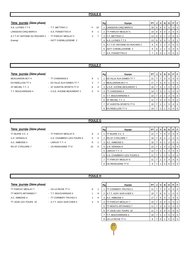### $7$ ème journée (2ème phase)

- A.S. LUYNES T.T 5 **FALUX 10 1 LANGEAIS-CINC MARS 6 10 11 LANGEA** F LANGEAIS-CINQ MARS 6 **A.S. FONDETTES 9** 3 A.T.T.ST ANTOINE DU ROCHER 2 - TT PARCAY MESLAY 5 3 Exempt - ASTT CHEMILLE/DEME 2
	-

|    | Rg             | Equipe                       | PТ | J. | v              | N        | D        | Р        | F        |
|----|----------------|------------------------------|----|----|----------------|----------|----------|----------|----------|
| 10 |                | LANGEAIS-CINQ MARS 6         | 18 | 6  | 6              | $\Omega$ | $\Omega$ | $\Omega$ | 0        |
|    | $\overline{2}$ | TT PARCAY MESLAY 5           | 14 | 6  | $\overline{4}$ | $\Omega$ | 2        | $\Omega$ | $\Omega$ |
| 7  | 3              | T.T. METTRAY 2               | 13 | 6  | 3              | 1        | 2        | $\Omega$ | $\Omega$ |
|    | 4              | A.S. LUYNES T.T 5            | 13 | 6  | 4              | $\Omega$ | 1        | $\Omega$ | 1        |
|    | 5              | A.T.T.ST ANTOINE DU ROCHER 2 | 9  | 6  | 1              | 1        | 4        | 0        | 0        |
|    | 6              | <b>ASTT CHEMILLE/DEME 2</b>  | 9  | 6  | 1              | 1        | 4        | $\Omega$ | $\Omega$ |
|    |                | A.S. FONDETTES 9             |    | 6  | 0              | 1        | 5        | $\Omega$ | $\Omega$ |
|    |                |                              |    |    |                |          |          |          |          |

#### **POULE F**

#### $7$ ème journée (2ème phase)

- ES RIDELLOIS TT 4 ES VILLE AUX DAMES TT 7 3 ST MICHEL T.T. 2 - ST AVERTIN SPORTS TT 9 6 4 3 U.S.E. AVOINE-BEAUMONT 2 16 7 4 1 2 0 0 T.T. BOUCHARDAIS 4 - U.S.E. AVOINE-BEAUMONT 2 5
- BEAUJARDIN BCT 4 TT CHINONAIS 6 9 1 1 ES VILLE AUX DAMES TT 7 21 7 7 0 0 0 0
	-
	-

|   | Rg | Equipe                   | PТ | J | ν | N        | D        | Р | F |
|---|----|--------------------------|----|---|---|----------|----------|---|---|
| 1 |    | ES VILLE AUX DAMES TT 7  | 21 | 7 | 7 | $\Omega$ | $\Omega$ | 0 | O |
| 7 | 2  | <b>BEAUJARDIN BCT 4</b>  | 17 | 7 | 5 | $\Omega$ | 2        | O | O |
| 4 | 3  | U.S.E. AVOINE-BEAUMONT 2 | 16 | 7 | 4 | 1        | 2        | 0 | ი |
| 5 | 4  | TT CHINONAIS 6           | 14 | 7 | 3 | 1        | 3        | O | 0 |
|   | 5  | T.T. BOUCHARDAIS 4       | 13 | 7 | 2 | 2        | 3        | 0 | 0 |
|   | 6  | ST MICHEL T.T. 2         | 11 | 7 | 2 | $\Omega$ | 5        | O | 0 |
|   | 7  | ST AVERTIN SPORTS TT 9   | 10 | 7 | 1 | 1        | 5        | O | 0 |
|   | 8  | <b>ES RIDELLOIS TT 4</b> | 10 | 7 |   |          | 5        |   |   |

### **POULE G**

#### $7$ ème journée (2ème phase)

- TT BLERE V.C. 3 TT PARCAY MESLAY 6 8 2
- 
- 
- U.S. VERNOU 6  **U.S. CHAMBRAY-LES-TOURS 6** 5 2 5
	-
- A.C. AMBOISE 5 LARCAY T.T. 4 9 1
- RS ST CYR/LOIRE 7 US RENAUDINE TT 8 10 0

| Rg | Equipe                    | PТ | J | ν | N | D | Р | F |
|----|---------------------------|----|---|---|---|---|---|---|
| 1  | TT BLERE V.C. 3           | 21 | 7 | 7 | O | O | O | 0 |
| 2  | <b>RS ST CYR/LOIRE 7</b>  | 19 | 7 | 6 | 0 |   | O | 0 |
| 3  | A.C. AMBOISE 5            | 16 | 7 | 4 |   | 2 | 0 | 0 |
| 4  | U.S. VERNOU 6             | 13 | 7 |   | 4 | 2 | 0 | 0 |
| 5  | LARCAY T.T. 4             | 12 | 7 | 2 |   | 4 | 0 | 0 |
| 6  | U.S. CHAMBRAY-LES-TOURS 6 | 11 | 7 | 1 | 2 | 4 | 0 | 0 |
| 7  | TT PARCAY MESLAY 6        | 11 | 7 | 1 | 2 | 4 | 0 | 0 |
| 8  | US RENAUDINE TT 8         | 9  |   |   |   | 6 |   |   |

#### **POULE H**

- TT PARCAY MESLAY 7 US LA RICHE TT 4 9 TT MONTS ARTANNES 7 - T.T. BOUCHARDAIS 3 1 A.C. AMBOISE 4 TT CORMERY-TRUYES 3
	-
	-
- TT JOUE LES TOURS 10 A.T.T. AZAY-SUR-CHER 4 4

| F<br>Р               |
|----------------------|
| $\Omega$<br>0        |
| $\Omega$<br>0        |
| $\Omega$<br>0        |
| $\Omega$<br>$\Omega$ |
| $\Omega$<br>$\Omega$ |
| $\Omega$<br>$\Omega$ |
| 0<br>$\Omega$        |
| 0<br>0               |
|                      |

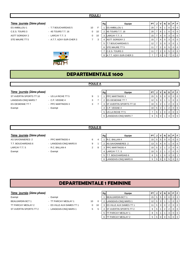#### **POULE I**

#### $7$ ème journée (2ème phase)

- 
- ES AMBILLOU 1 **ES AMBILLOU 1** F.T.T BOUCHARDAIS 5 10 C.E.S. TOURS 3 - 4S TOURS T.T. 16 0 1 ASTT SORIGNY 2 - LARCAY T.T. 3 0 1 STE MAURE TT 5 - A.T.T. AZAY-SUR-CHER 3 7



|    | Rg | Equipe                   | РT | J | ٧              | N        | D        | Р | F        |
|----|----|--------------------------|----|---|----------------|----------|----------|---|----------|
| F  |    | ES AMBILLOU 1            | 20 | 7 | 6              | 1        | $\Omega$ | 0 | $\Omega$ |
| 10 | 2  | 4S TOURS T.T. 16         | 20 | 7 | 6              | 1        | $\Omega$ | 0 | 0        |
| 10 | 3  | LARCAY T.T. 3            | 15 | 7 | 4              | 0        | 3        | 0 | 0        |
| 3  | 4  | <b>ASTT SORIGNY 2</b>    | 15 | 7 | 4              | 0        | 3        | 0 | 0        |
|    | 5  | <b>T.T BOUCHARDAIS 5</b> | 12 | 7 | 3              | 0        | 3        | 0 | 1        |
|    | 6  | STE MAURE TT 5           | 11 | 7 | $\overline{2}$ | 0        | 5        | 0 | 0        |
|    | 7  | C.E.S. TOURS 3           | 11 | 7 | $\overline{2}$ | 0        | 5        | 0 | 0        |
|    | 8  | A.T.T. AZAY-SUR-CHER 3   | ⇁  | 7 | $\Omega$       | $\Omega$ | 7        | 0 | $\Omega$ |

## **DEPARTEMENTALE 1600**

**POULE A**

## $7$ ème journée (2ème phase)

- ST AVERTIN SPORTS TT 10 US LA RICHE TT 5 9 1 LANGEAIS-CINQ MARS 7 - C.P. VEIGNE 4 3 7 ES OESIENNE TT 7 - PPC MARTINOIS 3 3 7
- -
	-
	-

| 7ème journée (2ème phase) |                    |   | Rg | Equipe                          | PT I               |            | JIV | <b>N</b> | D | PIF |                         |
|---------------------------|--------------------|---|----|---------------------------------|--------------------|------------|-----|----------|---|-----|-------------------------|
| ST AVERTIN SPORTS TT 10   | - US LA RICHE TT 5 | 9 |    | <b>PPC MARTINOIS 3</b>          | $15 \mid 5 \mid 5$ |            |     |          |   |     | $\mathsf{I} \mathsf{0}$ |
| LANGEAIS-CINQ MARS 7      | $-$ C.P. VEIGNE 4  |   |    | <b>ES OESIENNE TT 7</b>         | 12 <sub>1</sub>    | 5 3        |     |          |   |     | - 0                     |
| ES OESIENNE TT 7          | - PPC MARTINOIS 3  | 3 |    | <b>IST AVERTIN SPORTS TT 10</b> | 10 I               | 512        |     |          |   |     | l O                     |
| Exempt                    | - Exempt           |   |    | 4 C.P. VEIGNE 4                 | 10 I               | $5 \mid 2$ |     |          |   |     | ıο                      |
|                           |                    |   |    | 5 US LA RICHE TT 5              |                    |            |     |          |   |     |                         |
|                           |                    |   |    | LANGEAIS-CINQ MARS 7            | 6                  | 5 I        |     |          |   |     |                         |

#### **POULE B**

#### $7$ ème journée (2ème phase)

- AS SAVONNIERES 2 PPC MARTINOIS 4 6 4 T.T. BOUCHARDAIS 6 - LANGEAIS-CINQ MARS 8 9 1
	-

| 7ème journée (2ème phase) |                        |   |   | Rg | Equipe                 | PT.             |                | JIVI | N | D | PF             |                |
|---------------------------|------------------------|---|---|----|------------------------|-----------------|----------------|------|---|---|----------------|----------------|
| AS SAVONNIERES 2          | - PPC MARTINOIS 4      | 6 | 4 |    | R.C. BALLAN 4          | 15              |                | 55   |   |   | 0 <sub>0</sub> |                |
| T.T. BOUCHARDAIS 6        | - LANGEAIS-CINQ MARS 8 | 9 |   |    | AS SAVONNIERES 2       | 13 <sup>1</sup> | 5 <sup>1</sup> | 4    |   |   |                | $\overline{0}$ |
| LARCAY T.T. 5             | - R.C. BALLAN 4        | ົ | 8 |    | <b>PPC MARTINOIS 4</b> | 10 <sub>1</sub> | 5 <sup>5</sup> |      |   |   |                | $\overline{0}$ |
| Exempt                    | - Exempt               |   |   |    | 4 LARCAY T.T. 5        | 10 <sup>1</sup> | 512            |      |   |   | $01$ 0         |                |
|                           |                        |   |   |    | 5 T.T. BOUCHARDAIS 6   |                 | 5              |      |   | 3 | $\Omega$       |                |
|                           |                        |   |   |    | 6 LANGEAIS-CINQ MARS 8 | 5               | 5 <sub>1</sub> | 10 I |   |   |                | $\overline{0}$ |

## **DEPARTEMENTALE 1 FEMININE**

- 
- 
- BEAUJARDIN BCT 1 TT PARCAY MESLAY 1 10 0
- TT PARCAY MESLAY 2 ES VILLE AUX DAMES TT 1 0 10
- ST AVERTIN SPORTS TT 2 LANGEAIS-CINQ MARS 1 5 5

|  |  | $\overline{a}$ |  |
|--|--|----------------|--|
|  |  |                |  |
|  |  |                |  |
|  |  |                |  |
|  |  |                |  |
|  |  |                |  |

| 7ème journée (2ème phase) |                           |    |    | Rg | Equipe                            | <b>PT</b> |   |    | N | D | PIFI             |
|---------------------------|---------------------------|----|----|----|-----------------------------------|-----------|---|----|---|---|------------------|
| Exempt                    | - Exempt                  |    |    |    | BEAUJARDIN BCT 1                  | 15        | 5 | -5 |   |   | $\overline{101}$ |
| BEAUJARDIN BCT 1          | - TT PARCAY MESLAY 1      | 10 |    |    | <b>LANGEAIS-CINQ MARS 1</b>       |           |   |    |   |   | $\overline{0}$   |
| TT PARCAY MESLAY 2        | - ES VILLE AUX DAMES TT 1 | 0  | 10 |    | 3 <b>IES VILLE AUX DAMES TT 1</b> |           |   |    |   |   | $\overline{0}$   |
| ST AVERTIN SPORTS TT 2    | - LANGEAIS-CINQ MARS 1    | 5. |    |    | 4 IST AVERTIN SPORTS TT 2         | 9         |   |    |   |   | $\overline{101}$ |
|                           |                           |    |    |    | <b>PARCAY MESLAY 1</b>            | 8         |   |    |   |   | $\overline{0}$   |
|                           |                           |    |    |    | <b>F PARCAY MESLAY 2</b>          | 5         |   |    |   |   | $\overline{101}$ |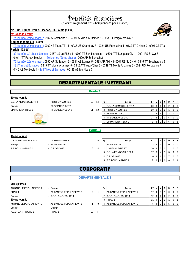# Pénalités financières

(d'après Règlement des Championnats par Equipes)

#### **N° Club, Equipe, Poule, Licence, Clt, Points (5,00€)**

*N° Licence erroné :* 

7è journée (2ème phase) : 0102 AC Amboise 1 - 0439 ES Ville aux Dames 6 - 0464 TT Parçay-Meslay 5

**Equipe Incomplète (5,00€)**

7è journée (2ème phase) : 0002 4S Tours TT 14 - 0033 US Chambray 3 - 0024 US Renaudine 4 - 0132 TT Chinon 9 - 0004 CEST 3 **Forfait (10,00€)**

3è journée (3è phase Jeunes) : 0167 US La Riche 1 - 0709 TT Semblancéen 1 - 0596 ATT Langeais CM 1 - 0001 RS St-Cyr 3 0464 - TT Parçay Meslay 1 - 6è journée (2ème phase) : 0690 AP St-Senoch 2

7è journée (2ème phase) : 0690 AP St Senoch 2 - 0681 AS Luynes 5 - 0583 AP Abilly 3- 0001 RS St-Cyr 6 - 0615 TT Bouchardais 5 1è j Titres et Barrages : 0349 TT Monts Artannes 5 - 0442 ATT Azay/Cher 2 - 0349 TT Monts Artannes 3 - 0024 US Renaudine 7 0146 AS Montlouis 1 - 2e j Titres et Barrages : 00146 AS Montlouis 3

## **DEPARTEMENTALE 1 VETERANS**

**Poule A**

|                        |                     | <b>FULLE A</b> |    |                         |    |                |                |   |                |   |                |
|------------------------|---------------------|----------------|----|-------------------------|----|----------------|----------------|---|----------------|---|----------------|
| 10ème journée          |                     |                |    |                         |    |                |                |   |                |   |                |
| C.S. LA MEMBROLLE TT 2 | - RS ST CYR/LOIRE 1 | 16<br>14       | Rg | Equipe                  | PT |                | v              | N | D              | P | F              |
| Exempt                 | - BEAUJARDIN BCT 1  |                |    | C.S. LA MEMBROLLE TT 2  | 20 | 8              | 6              | 0 | 2              |   | 0              |
| EP MARIGNY RILLY 1     | - TT SEMBLANCEEN 1  | 11<br>19       |    | 2 RS ST CYR/LOIRE 1     | 20 | 8              | 5              | 2 |                | 0 | 0              |
| $\sim$ $\sim$          |                     |                |    | 3 BEAUJARDIN BCT 1      | 17 | 8              | 4              |   | 3              | 0 |                |
| 00                     |                     |                | 4  | <b>TT SEMBLANCEEN 1</b> | 14 | 8              | 3              | 0 | 5              | 0 | $\mathbf 0$    |
|                        |                     |                |    | 5 EP MARIGNY RILLY 1    | 8  | 8 <sup>1</sup> | $\mathbf 0$    |   | 6              | 0 |                |
|                        |                     |                |    |                         |    |                |                |   |                |   |                |
|                        |                     | <b>Poule B</b> |    |                         |    |                |                |   |                |   |                |
| 10ème journée          |                     |                |    |                         |    |                |                |   |                |   |                |
| C.S LA MEMBROLLE TT 1  | - US RENAUDINE TT 1 | 20<br>10       | Rg | Equipe                  | PT |                | v              | N | D              | P | F              |
| Exempt                 | - ES OESIENNE TT 1  |                |    | <b>ES OESIENNE TT 1</b> | 23 | 8              | $\overline{ }$ |   | 0              | 0 | $\mathbf 0$    |
| T.T. BOUCHARDAIS 1     | - C.P. VEIGNE 1     | 16<br>14       |    | 2 US RENAUDINE TT 1     | 20 | 8              | 6              | 0 | $\overline{2}$ | 0 | $\overline{0}$ |
|                        |                     |                |    | 3 C.S LA MEMBROLLE TT 1 | 17 | 8              | $\overline{4}$ |   | 3              | 0 | $\Omega$       |
|                        |                     |                |    | 4 C.P. VEIGNE 1         | 10 | 8              |                | 0 |                | 0 | $\mathbf 0$    |
|                        |                     |                |    |                         |    |                |                |   |                |   |                |

## **CORPORATIF**

#### **DEPARTEMENTALE 1**

#### **9ème journée**

AS BANQUE POPULAIRE VF 1 - Exempt Exempt - A.S.C. B.N.P. TOURS 1 AS BANQUE POPULAIRE VF 2 - AS BANQUE POPULAIRE VF 1 4 Exempt - Exempt A.S.C. B.N.P. TOURS 1 - PRAXI 1 10 F

- PRAXI 1  **AS BANQUE POPULAIRE VF 2** 17 and 17 1 1 and 17 1 2 17 1 1 1 1 1  $\overline{a}$  9
	- -

| AS BANQUE POPULAIRE VF 1 | - Exempt                   |  | Rg | Equipe                          | PT  |  |  |  |
|--------------------------|----------------------------|--|----|---------------------------------|-----|--|--|--|
| PRAXI 1                  | - AS BANQUE POPULAIRE VF 2 |  |    | <b>AS BANQUE POPULAIRE VF 1</b> |     |  |  |  |
| Exempt                   | - A.S.C. B.N.P. TOURS 1    |  |    | 2 A.S.C. B.N.P. TOURS 1         | 12. |  |  |  |
| 10ème journée            |                            |  |    | <b>PRAXI1</b>                   |     |  |  |  |
| AS BANQUE POPULAIRE VF 2 | - AS BANQUE POPULAIRE VF 1 |  |    | AS BANQUE POPULAIRE VF 2        |     |  |  |  |

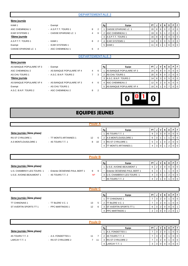#### **9ème journée**

| KAMI <sub>1</sub>     | - Exempt              |   |   |
|-----------------------|-----------------------|---|---|
| ASC CHEMINEAU 1       | - A.S.P.T.T. TOURS 1  | 8 | 2 |
| <b>ICAR SYSTEMS 1</b> | - CAISSE EPARGNE LC 1 | 4 | 6 |
| 10ème journée         |                       |   |   |
| A.S.P.T.T. TOURS 1    | - KAMI 1              |   | 2 |
| Exempt                | - ICAR SYSTEMS 1      |   |   |
| CAISSE EPARGNE LC 1   | - ASC CHEMINEAU 1     |   | 4 |

| KAMI <sub>1</sub>  | - Exempt              |   |     | Rg | Equipe                     | PT I            |     |         |  | PIF |                |
|--------------------|-----------------------|---|-----|----|----------------------------|-----------------|-----|---------|--|-----|----------------|
| ASC CHEMINEAU 1    | - A.S.P.T.T. TOURS 1  | 8 |     |    | <b>CAISSE EPARGNE LC 1</b> | 20 <sub>1</sub> |     | $8$   6 |  |     | $\overline{0}$ |
| ICAR SYSTEMS 1     | - CAISSE EPARGNE LC 1 | 4 | - 6 |    | <b>ASC CHEMINEAU 1</b>     | $19$   8   5    |     |         |  |     | $\overline{0}$ |
| 10ème journée      |                       |   |     | 3  | A.S.P.T.T. TOURS 1         | 16 I            | 814 |         |  |     | $\overline{0}$ |
| A.S.P.T.T. TOURS 1 | $-$ KAMI 1            | 8 |     |    | <b>ICAR SYSTEMS 1</b>      | 14 I            | 8   | -3      |  |     | $\overline{0}$ |
| Exempt             | - ICAR SYSTEMS 1      |   |     |    | KAMI 1                     | 11              |     |         |  |     | $\overline{0}$ |

#### **DEPARTEMENTALE 3**

#### **9ème journée**

AS BANQUE POPULAIRE VF 3 - E 10ème journée

| AS DANQUE PUPULAIRE VF 3 | $-$ Exeribl                |   |   |
|--------------------------|----------------------------|---|---|
| ASC CHEMINEAU 2          | - AS BANQUE POPULAIRE VF 4 | 4 | 6 |
| AS CHU TOURS 1           | - A.S.C. B.N.P. TOURS 2    |   | 3 |
| 10ème journée            |                            |   |   |
| AS BANQUE POPULAIRE VF 4 | - AS BANQUE POPULAIRE VF 3 |   | 6 |
| Exempt                   | - AS CHU TOURS 1           |   |   |
| A.S.C. B.N.P. TOURS 2    | - ASC CHEMINEAU 2          |   | 2 |

| AS BANQUE POPULAIRE VF 3 | - Exempt                   |   | Rg | Equipe                         | PT I            |     |  |  |
|--------------------------|----------------------------|---|----|--------------------------------|-----------------|-----|--|--|
| ASC CHEMINEAU 2          | - AS BANQUE POPULAIRE VF 4 | 4 |    | <b>AS BANQUE POPULAIRE VF3</b> | 24 I            | 818 |  |  |
| AS CHU TOURS 1           | - A.S.C. B.N.P. TOURS 2    |   |    | <b>AS CHU TOURS 1</b>          | -20 I           |     |  |  |
| 10ème journée            |                            |   |    | 3 IA.S.C. B.N.P. TOURS 2       | 14 I            |     |  |  |
| AS BANQUE POPULAIRE VF 4 | - AS BANQUE POPULAIRE VF3  | 4 |    | <b>ASC CHEMINEAU 2</b>         | 12 <sub>1</sub> |     |  |  |
| Exempt                   | - AS CHU TOURS 1           |   |    | 5 AS BANQUE POPULAIRE VF 4     | 10 I            |     |  |  |



## **EQUIPES JEUNES**

#### **Poule A**

#### 3ème journée (3ème phase)

A.S MONTLOUIS/LOIRE 1 - 4S TOURS T.T. 1 8 10

RS ST CYR/LOIRE 1 - TT MONTS ARTANNES 1 12 6

| Rg | Equipe                | PT |   |   | D | D |  |
|----|-----------------------|----|---|---|---|---|--|
|    | 4S TOURS T.T. 1       | 9  | 3 | 3 |   |   |  |
| 2  | A.S MONTLOUIS/LOIRE 1 | 6  | 3 |   |   |   |  |
| 3  | RS ST CYR/LOIRE 1     | 5  | 3 |   | っ |   |  |
|    | 'T MONTS ARTANNES 1   | 4  | 3 |   | ≘ |   |  |

|                           |                                | <b>Poule B</b> |    |                                 |    |     |   |  |                  |
|---------------------------|--------------------------------|----------------|----|---------------------------------|----|-----|---|--|------------------|
|                           |                                |                | Rg | Equipe                          | PT |     | N |  |                  |
| 3ème journée (3ème phase) |                                |                |    | <b>U.S.E. AVOINE-BEAUMONT 1</b> |    | 612 |   |  | $\overline{1}$ 0 |
| U.S. CHAMBRAY-LES-TOURS 1 | - Entente OESIENNE-PAUL BERT 1 | 9<br>-9        |    | Entente OESIENNE-PAUL BERT 1    | 6  |     |   |  | $\overline{0}$   |
| U.S.E. AVOINE-BEAUMONT 1  | - 4S TOURS T.T. 2              | <b>NP</b>      |    | 3 U.S. CHAMBRAY-LES-TOURS 1     | 4  | 3   |   |  | $\overline{0}$   |
|                           |                                |                |    | <b>4S TOURS T.T. 2</b>          |    |     |   |  | $\Omega$         |

|                           |                     |    | Rg | Equipe                        | PT N           |   |  |  |  | <b>DI</b> | F              |
|---------------------------|---------------------|----|----|-------------------------------|----------------|---|--|--|--|-----------|----------------|
| 3ème journée (3ème phase) |                     |    |    | <b>ITT CHINONAIS 1</b>        |                |   |  |  |  |           | $\overline{0}$ |
| <b>TT CHINONAIS 1</b>     | $-$ TT BLERE V.C. 1 | 13 |    | <b>FBLERE V.C. 1</b>          |                |   |  |  |  |           | $\overline{0}$ |
| ST AVERTIN SPORTS TT 1    | - PPC MARTINOIS 1   | 12 |    | <b>ST AVERTIN SPORTS TT 1</b> | 6              |   |  |  |  |           |                |
|                           |                     |    |    | 4 PPC MARTINOIS 1             | 2 <sub>1</sub> | 3 |  |  |  |           |                |

| <b>Poule D</b>            |                     |    |    |                          |           |   |                |  |     |   |  |
|---------------------------|---------------------|----|----|--------------------------|-----------|---|----------------|--|-----|---|--|
|                           |                     |    | Rg | Equipe                   | <b>PT</b> |   | V              |  | D I | Ð |  |
| 3ème journée (3ème phase) |                     |    |    | A.S. FONDETTES 1         |           |   | $\mathcal{P}$  |  |     |   |  |
| 4S TOURS T.T. 3           | - A.S. FONDETTES 1  | 11 |    | 4S TOURS T.T. 3          |           |   | $\overline{2}$ |  |     |   |  |
| LARCAY T.T. 1             | - RS ST CYR/LOIRE 2 | 11 |    | <b>RS ST CYR/LOIRE 2</b> |           |   | 2              |  |     |   |  |
|                           |                     |    |    | 4 LARCAY T.T. 1          | 3         | 3 |                |  |     |   |  |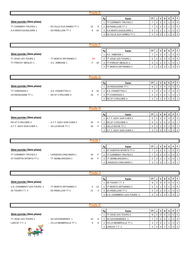|                           |                           | <b>Poule E</b> |                    |                                      |                      |                |                     |                  |                   |             |                  |
|---------------------------|---------------------------|----------------|--------------------|--------------------------------------|----------------------|----------------|---------------------|------------------|-------------------|-------------|------------------|
|                           |                           |                |                    |                                      |                      |                |                     |                  |                   |             |                  |
| 3ème journée (3ème phase) |                           |                | Rg<br>$\mathbf{1}$ | Equipe<br><b>TT CORMERY-TRUYES 1</b> | PT<br>$\overline{7}$ | J<br>3         | V<br>$\overline{2}$ | N<br>$\mathbf 0$ | D<br>$\mathbf{1}$ | P<br>0      | F<br>$\mathbf 0$ |
| TT CORMERY-TRUYES 1       | - ES VILLE AUX DAMES TT 1 | 8<br>10        | 2                  | <b>ES RIDELLOIS TT 1</b>             | $\overline{7}$       | 3              | $\sqrt{2}$          | $\mathbf 0$      | $\mathbf{1}$      | $\mathbf 0$ | $\pmb{0}$        |
| A.S MONTLOUIS/LOIRE 2     | - ES RIDELLOIS TT 1       | 8<br>10        | 3                  | A.S MONTLOUIS/LOIRE 2                | 6                    | 3              | 1                   | -1               | 1                 | 0           | $\mathbf 0$      |
|                           |                           |                | 4                  | ES VILLE AUX DAMES TT 1              | $\overline{4}$       | 3              | $\mathbf 0$         |                  | $\overline{2}$    | $\mathbf 0$ | $\mathbf 0$      |
|                           |                           |                |                    |                                      |                      |                |                     |                  |                   |             |                  |
|                           |                           | <b>Poule F</b> |                    |                                      |                      |                |                     |                  |                   |             |                  |
|                           |                           |                |                    |                                      |                      |                |                     |                  |                   |             |                  |
|                           |                           |                | Rg                 | Equipe                               | PT                   | J              | V                   | N                | D                 | P           | F                |
| 3ème journée (3ème phase) |                           |                | $\mathbf{1}$       | A.C. AMBOISE 1                       | $\overline{7}$       | 3              | $\overline{2}$      | $\Omega$         | 1                 | $\pmb{0}$   | $\mathbf 0$      |
| TT JOUE LES TOURS 1       | - TT MONTS ARTANNES 2     | <b>NP</b>      | $\overline{2}$     | <b>TT JOUE LES TOURS 1</b>           | 6                    | $\overline{2}$ | $\overline{2}$      | $\mathbf 0$      | $\mathbf 0$       | $\mathbf 0$ | $\pmb{0}$        |
| TT PARCAY MESLAY 1        | - A.C. AMBOISE 1          | F 18           | 3                  | <b>TT PARCAY MESLAY 1</b>            | 4                    | 3              | 1                   | $\mathbf 0$      | 1                 | $\pmb{0}$   | $\mathbf{1}$     |
|                           |                           |                | 4                  | <b>TT MONTS ARTANNES 2</b>           | $\overline{2}$       | 2              | 0                   | $\mathbf 0$      | $\overline{2}$    | 0           | $\mathbf 0$      |
|                           |                           |                |                    |                                      |                      |                |                     |                  |                   |             |                  |
|                           |                           | <b>Poule G</b> |                    |                                      |                      |                |                     |                  |                   |             |                  |
|                           |                           |                | Rg                 | Equipe                               | PT                   | J              | ٧                   | N                | D                 | P           | F                |
| 3ème journée (3ème phase) |                           |                | $\mathbf{1}$       | US RENAUDINE TT 1                    | 9                    | 3              | 3                   | $\mathbf 0$      | $\mathbf 0$       | $\pmb{0}$   | $\mathbf 0$      |
| TT CHINONAIS 2            | - A.S. FONDETTES 2        | 8<br>10        | $\overline{2}$     | A.S. FONDETTES 2                     | 5                    | $\mathbf{3}$   |                     | $\mathbf 0$      | $\overline{2}$    | $\mathbf 0$ | $\pmb{0}$        |
| US RENAUDINE TT 1         | - RS ST CYR/LOIRE 3       | F<br>18        | 3                  | <b>TT CHINONAIS 2</b>                | 4                    | 3              |                     | $\mathbf 0$      | 1                 | 0           | 1                |
|                           |                           |                | 4                  | RS ST CYR/LOIRE 3                    | 3                    | 3              |                     | 0                | $\mathbf 0$       | 0           | $\overline{2}$   |
|                           |                           |                |                    |                                      |                      |                |                     |                  |                   |             |                  |
|                           |                           | <b>Poule H</b> |                    |                                      |                      |                |                     |                  |                   |             |                  |
|                           |                           |                | Rg                 | Equipe                               | PT                   | J              | v                   | N                | D                 | P           | F                |
| 3ème journée (3ème phase) |                           |                | $\mathbf{1}$       | A.T.T. AZAY-SUR-CHER 1               | 9                    | 3              | 3                   | $\mathbf 0$      | $\mathbf 0$       | $\mathbf 0$ | $\mathbf 0$      |
| RS ST CYR/LOIRE 4         | - A.T.T. AZAY-SUR-CHER 2  | 18<br>0        | $\overline{2}$     | RS ST CYR/LOIRE 4                    | 6                    | 3              | $\overline{2}$      | $\mathbf 0$      | $\mathbf 0$       | 0           | $\mathbf{1}$     |
| A.T.T. AZAY-SUR-CHER 1    | - US LA RICHE TT 1        | F.<br>18       | 3                  | US LA RICHE TT 1                     | $\overline{4}$       | 3              | 1                   | $\mathbf 0$      | 1                 | 0           | $\mathbf{1}$     |
|                           |                           |                | 4                  | A.T.T. AZAY-SUR-CHER 2               | 3                    | 3              | $\Omega$            | $\Omega$         | 3                 | $\Omega$    | $\Omega$         |
|                           |                           |                |                    |                                      |                      |                |                     |                  |                   |             |                  |
|                           |                           | <b>Poule I</b> |                    |                                      |                      |                |                     |                  |                   |             |                  |
|                           |                           |                | Rg                 | Equipe                               | PT                   | J              | V                   | N                | D                 | P           | F                |
| 3ème journée (3ème phase) |                           |                |                    | ST AVERTIN SPORTS TT 2               | $\overline{7}$       | 3 <sup>1</sup> | $2 \mid$            | $\overline{0}$   | $1 \mid$          | $\mathbf 0$ | 0                |
| TT CORMERY-TRUYES 2       | - LANGEAIS-CINQ MARS 1    | F<br>18        | 2                  | <b>TT CORMERY-TRUYES 2</b>           | $\overline{7}$       | 3              | $\sqrt{2}$          | $\mathsf 0$      | $\mathbf{1}$      | $\mathsf 0$ | $\mathbf 0$      |
| ST AVERTIN SPORTS TT 2    | - TT SEMBLANCEEN 1        | F<br>18        | 3                  | <b>TT SEMBLANCEEN 1</b>              | 5                    | 3              | $\mathbf{1}$        | $\mathbf{1}$     | $\mathbf 0$       | 0           | $\mathbf{1}$     |
|                           |                           |                | 4                  | LANGEAIS-CINQ MARS 1                 | 3                    | 3              | $\mathbf 0$         | $\mathbf{1}$     | $\mathbf{1}$      | $\mathbf 0$ | $\mathbf{1}$     |
|                           |                           |                |                    |                                      |                      |                |                     |                  |                   |             |                  |
|                           |                           | Poule J        |                    |                                      |                      |                |                     |                  |                   |             |                  |
|                           |                           |                | Rg                 | Equipe                               | PT                   | J              | v                   | N                | D                 | P           | F                |
| 3ème journée (3ème phase) |                           |                | $\mathbf{1}$       | 4S TOURS T.T. 4                      | 9                    | 3              | 3                   | 0                | 0                 | 0           | $\mathbf 0$      |
| U.S. CHAMBRAY-LES-TOURS 2 | - TT MONTS ARTANNES 3     | 5<br>- 13      | $\overline{2}$     | TT MONTS ARTANNES 3                  | 5                    | $\mathbf{3}$   | $\mathbf{1}$        | $\mathbf 0$      | $\boldsymbol{2}$  | $\mathbf 0$ | $\mathbf 0$      |
| 4S TOURS T.T. 4           | - ES RIDELLOIS TT 2       | 14<br>4        | 3                  | ES RIDELLOIS TT 2                    | 5                    | 3              | 1                   | $\mathbf 0$      | $\sqrt{2}$        | 0           | $\mathsf{O}$     |
|                           |                           |                | 4                  | U.S. CHAMBRAY-LES-TOURS 2            | $\overline{4}$       | 3              | 1                   | $\mathbf 0$      | $\mathbf{1}$      | $\mathbf 0$ | $\mathbf{1}$     |
|                           |                           |                |                    |                                      |                      |                |                     |                  |                   |             |                  |

| Poule K                   |                        |    |   |    |                             |           |   |   |  |   |  |           |
|---------------------------|------------------------|----|---|----|-----------------------------|-----------|---|---|--|---|--|-----------|
|                           |                        |    |   | Rg | Equipe                      | <b>PT</b> |   | v |  | υ |  |           |
| 3ème journée (3ème phase) |                        |    |   |    | <b>TT JOUE LES TOURS 2</b>  | 9         | з | 3 |  |   |  | I 0       |
| TT JOUE LES TOURS 2       | - AS SAVONNIERES 1     | 10 | 8 | 2  | AS SAVONNIERES 1            |           | 3 | 2 |  |   |  | <b>10</b> |
| LARCAY T.T. 2             | - CS LA MEMBROLLE TT 1 | 9  | 9 | 3  | <b>CS LA MEMBROLLE TT 1</b> | 4         | 3 |   |  |   |  | ΙO        |
|                           |                        |    |   |    | 4 LARCAY T.T. 2             | 4         | 3 |   |  |   |  |           |
|                           |                        |    |   |    |                             |           |   |   |  |   |  |           |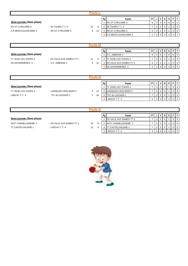| Poule                     |                     |    |    |    |                              |           |  |   |   |  |  |     |
|---------------------------|---------------------|----|----|----|------------------------------|-----------|--|---|---|--|--|-----|
|                           |                     |    |    | Rg | Equipe                       | <b>PT</b> |  |   | N |  |  |     |
| 3ème journée (3ème phase) |                     |    |    |    | <b>RS ST CYR/LOIRE 6</b>     |           |  | 3 |   |  |  | - 0 |
| RS ST CYR/LOIRE 6         | - 4S TOURS T.T. 5   | 10 |    |    | 4S TOURS T.T. 5              |           |  |   |   |  |  | - 0 |
| A.S MONTLOUIS/LOIRE 3     | - RS ST CYR/LOIRE 5 | 5  | 13 |    | <b>RS ST CYR/LOIRE 5</b>     | 5         |  |   |   |  |  |     |
|                           |                     |    |    |    | <b>A.S MONTLOUIS/LOIRE 3</b> |           |  |   |   |  |  |     |

| 'OUIA                     |                           |    |    |    |                                |           |   |  |  |   |   |              |
|---------------------------|---------------------------|----|----|----|--------------------------------|-----------|---|--|--|---|---|--------------|
|                           |                           |    |    | Rg | Equipe                         | <b>PT</b> |   |  |  | D | D |              |
| 3ème journée (3ème phase) |                           |    |    |    | A.C. AMBOISE 2                 | 8         | 3 |  |  |   |   | $\mathbf{0}$ |
| TT JOUE LES TOURS 3       | - ES VILLE AUX DAMES TT 2 | 12 |    |    | JOUE LES TOURS 3               |           | 3 |  |  |   |   | $\mathbf{0}$ |
| AS SAVONNIERES 2          | - A.C. AMBOISE 2          | 6  | 12 |    | <b>ES VILLE AUX DAMES TT 2</b> | 6         | 3 |  |  |   |   |              |
|                           |                           |    |    | 4  | AS SAVONNIERES 2               |           | 3 |  |  |   |   |              |

| oule                      |                        |   |    |    |                             |           |   |              |   |   |   |  |
|---------------------------|------------------------|---|----|----|-----------------------------|-----------|---|--------------|---|---|---|--|
|                           |                        |   |    | Rg | Equipe                      | <b>PT</b> |   | $\mathsf{v}$ | N | D | D |  |
| 3ème journée (3ème phase) |                        |   |    |    | <b>ITT JOUE LES TOURS 4</b> |           | 3 |              |   |   |   |  |
| TT JOUE LES TOURS 4       | - LANGEAIS-CINQ MARS 2 | 5 | 13 |    | LANGEAIS-CINQ MARS 2        |           | 3 |              |   |   |   |  |
| LARCAY T.T. 3             | - TTC du LOCHOIS 1     | 2 | 16 |    | TTC du LOCHOIS 1            |           | 3 |              |   |   |   |  |
|                           |                        |   |    | 4  | LARCAY T.T. 3               | 3         | 3 |              |   |   |   |  |

| Poule C                   |                           |    |   |    |                                |           |   |                |     |  |   |                |
|---------------------------|---------------------------|----|---|----|--------------------------------|-----------|---|----------------|-----|--|---|----------------|
|                           |                           |    |   | Rg | Equipe                         | <b>PT</b> |   | v              | N I |  | D |                |
| 3ème journée (3ème phase) |                           |    |   |    | <b>ES VILLE AUX DAMES TT 3</b> |           | 3 | 2 <sub>1</sub> |     |  |   | $\overline{0}$ |
| ASTT CHEMILLE/DEME 1      | - ES VILLE AUX DAMES TT 3 | 10 | 8 |    | <b>ASTT CHEMILLE/DEME 1</b>    |           | 3 | 2              |     |  |   | $\Omega$       |
| <b>TT CASTELVALERIE 1</b> | - LARCAY T.T. 4           | 12 | 4 |    | <b>TT CASTELVALERIE 1</b>      |           |   | 2              |     |  |   | $\Omega$       |
|                           |                           |    |   |    | 4 LARCAY T.T. 4                | 3         | 3 | $\mathbf{0}$   |     |  |   |                |
|                           |                           |    |   |    |                                |           |   |                |     |  |   |                |